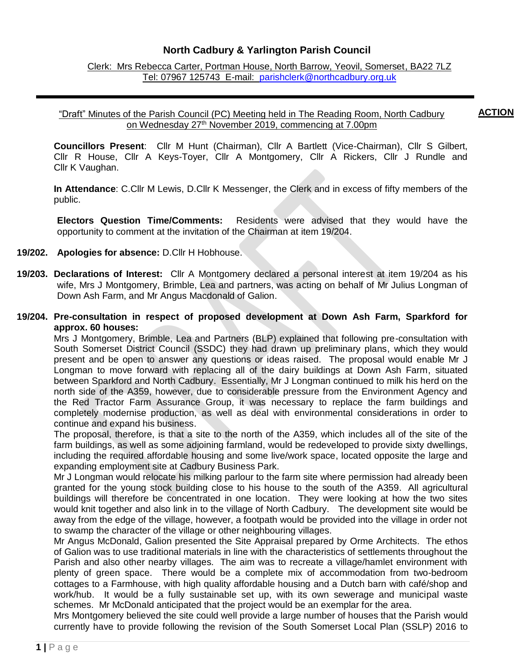## **North Cadbury & Yarlington Parish Council**

Clerk: Mrs Rebecca Carter, Portman House, North Barrow, Yeovil, Somerset, BA22 7LZ Tel: 07967 125743 E-mail: [parishclerk@northcadbury.org.uk](mailto:parishclerk@northcadbury.org.uk)

#### "Draft" Minutes of the Parish Council (PC) Meeting held in The Reading Room, North Cadbury on Wednesday 27<sup>th</sup> November 2019, commencing at 7.00pm **ACTION**

**Councillors Present**: Cllr M Hunt (Chairman), Cllr A Bartlett (Vice-Chairman), Cllr S Gilbert, Cllr R House, Cllr A Keys-Toyer, Cllr A Montgomery, Cllr A Rickers, Cllr J Rundle and Cllr K Vaughan.

**In Attendance**: C.Cllr M Lewis, D.Cllr K Messenger, the Clerk and in excess of fifty members of the public.

**Electors Question Time/Comments:** Residents were advised that they would have the opportunity to comment at the invitation of the Chairman at item 19/204.

#### **19/202. Apologies for absence:** D.Cllr H Hobhouse.

- **19/203. Declarations of Interest:** Cllr A Montgomery declared a personal interest at item 19/204 as his wife, Mrs J Montgomery, Brimble, Lea and partners, was acting on behalf of Mr Julius Longman of Down Ash Farm, and Mr Angus Macdonald of Galion.
- **19/204. Pre-consultation in respect of proposed development at Down Ash Farm, Sparkford for approx. 60 houses:**

Mrs J Montgomery, Brimble, Lea and Partners (BLP) explained that following pre-consultation with South Somerset District Council (SSDC) they had drawn up preliminary plans, which they would present and be open to answer any questions or ideas raised. The proposal would enable Mr J Longman to move forward with replacing all of the dairy buildings at Down Ash Farm, situated between Sparkford and North Cadbury. Essentially, Mr J Longman continued to milk his herd on the north side of the A359, however, due to considerable pressure from the Environment Agency and the Red Tractor Farm Assurance Group, it was necessary to replace the farm buildings and completely modernise production, as well as deal with environmental considerations in order to continue and expand his business.

The proposal, therefore, is that a site to the north of the A359, which includes all of the site of the farm buildings, as well as some adjoining farmland, would be redeveloped to provide sixty dwellings, including the required affordable housing and some live/work space, located opposite the large and expanding employment site at Cadbury Business Park.

Mr J Longman would relocate his milking parlour to the farm site where permission had already been granted for the young stock building close to his house to the south of the A359. All agricultural buildings will therefore be concentrated in one location. They were looking at how the two sites would knit together and also link in to the village of North Cadbury. The development site would be away from the edge of the village, however, a footpath would be provided into the village in order not to swamp the character of the village or other neighbouring villages.

Mr Angus McDonald, Galion presented the Site Appraisal prepared by Orme Architects. The ethos of Galion was to use traditional materials in line with the characteristics of settlements throughout the Parish and also other nearby villages. The aim was to recreate a village/hamlet environment with plenty of green space. There would be a complete mix of accommodation from two-bedroom cottages to a Farmhouse, with high quality affordable housing and a Dutch barn with café/shop and work/hub. It would be a fully sustainable set up, with its own sewerage and municipal waste schemes. Mr McDonald anticipated that the project would be an exemplar for the area.

Mrs Montgomery believed the site could well provide a large number of houses that the Parish would currently have to provide following the revision of the South Somerset Local Plan (SSLP) 2016 to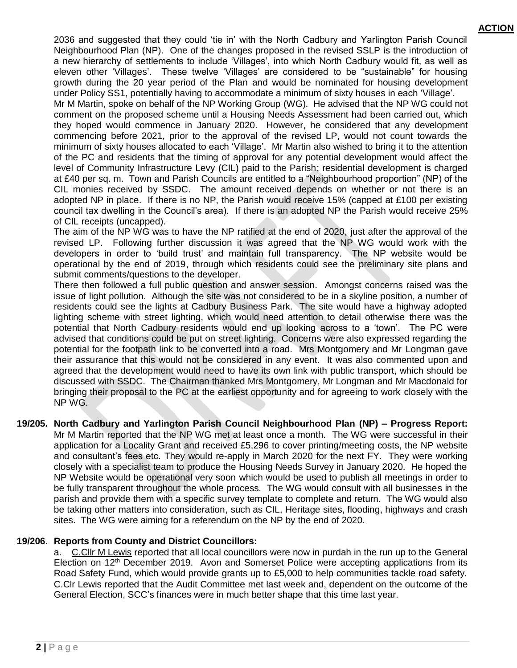2036 and suggested that they could 'tie in' with the North Cadbury and Yarlington Parish Council Neighbourhood Plan (NP). One of the changes proposed in the revised SSLP is the introduction of a new hierarchy of settlements to include 'Villages', into which North Cadbury would fit, as well as eleven other 'Villages'. These twelve 'Villages' are considered to be "sustainable" for housing growth during the 20 year period of the Plan and would be nominated for housing development under Policy SS1, potentially having to accommodate a minimum of sixty houses in each 'Village'.

Mr M Martin, spoke on behalf of the NP Working Group (WG). He advised that the NP WG could not comment on the proposed scheme until a Housing Needs Assessment had been carried out, which they hoped would commence in January 2020. However, he considered that any development commencing before 2021, prior to the approval of the revised LP, would not count towards the minimum of sixty houses allocated to each 'Village'. Mr Martin also wished to bring it to the attention of the PC and residents that the timing of approval for any potential development would affect the level of Community Infrastructure Levy (CIL) paid to the Parish; residential development is charged at £40 per sq. m. Town and Parish Councils are entitled to a "Neighbourhood proportion" (NP) of the CIL monies received by SSDC. The amount received depends on whether or not there is an adopted NP in place. If there is no NP, the Parish would receive 15% (capped at £100 per existing council tax dwelling in the Council's area). If there is an adopted NP the Parish would receive 25% of CIL receipts (uncapped).

The aim of the NP WG was to have the NP ratified at the end of 2020, just after the approval of the revised LP. Following further discussion it was agreed that the NP WG would work with the developers in order to 'build trust' and maintain full transparency. The NP website would be operational by the end of 2019, through which residents could see the preliminary site plans and submit comments/questions to the developer.

There then followed a full public question and answer session. Amongst concerns raised was the issue of light pollution. Although the site was not considered to be in a skyline position, a number of residents could see the lights at Cadbury Business Park. The site would have a highway adopted lighting scheme with street lighting, which would need attention to detail otherwise there was the potential that North Cadbury residents would end up looking across to a 'town'. The PC were advised that conditions could be put on street lighting. Concerns were also expressed regarding the potential for the footpath link to be converted into a road. Mrs Montgomery and Mr Longman gave their assurance that this would not be considered in any event. It was also commented upon and agreed that the development would need to have its own link with public transport, which should be discussed with SSDC. The Chairman thanked Mrs Montgomery, Mr Longman and Mr Macdonald for bringing their proposal to the PC at the earliest opportunity and for agreeing to work closely with the NP WG.

**19/205. North Cadbury and Yarlington Parish Council Neighbourhood Plan (NP) – Progress Report:**  Mr M Martin reported that the NP WG met at least once a month. The WG were successful in their application for a Locality Grant and received £5,296 to cover printing/meeting costs, the NP website and consultant's fees etc. They would re-apply in March 2020 for the next FY. They were working closely with a specialist team to produce the Housing Needs Survey in January 2020. He hoped the NP Website would be operational very soon which would be used to publish all meetings in order to be fully transparent throughout the whole process. The WG would consult with all businesses in the parish and provide them with a specific survey template to complete and return. The WG would also be taking other matters into consideration, such as CIL, Heritage sites, flooding, highways and crash sites. The WG were aiming for a referendum on the NP by the end of 2020.

## **19/206. Reports from County and District Councillors:**

a. C.Cllr M Lewis reported that all local councillors were now in purdah in the run up to the General Election on 12<sup>th</sup> December 2019. Avon and Somerset Police were accepting applications from its Road Safety Fund, which would provide grants up to £5,000 to help communities tackle road safety. C.Clr Lewis reported that the Audit Committee met last week and, dependent on the outcome of the General Election, SCC's finances were in much better shape that this time last year.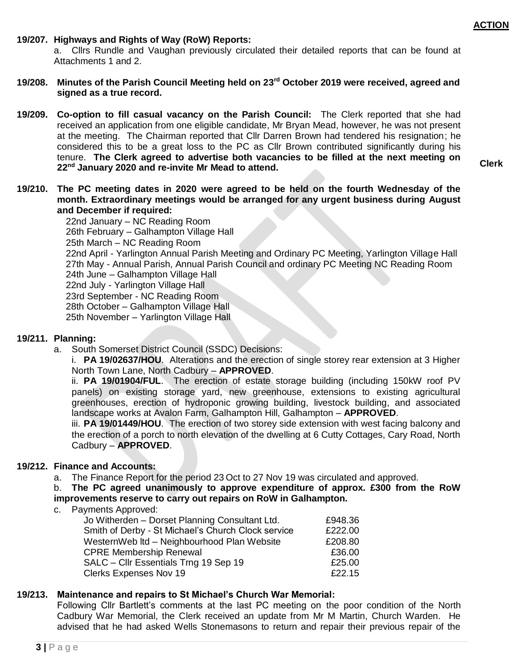**Clerk**

#### **19/207. Highways and Rights of Way (RoW) Reports:**

a. Cllrs Rundle and Vaughan previously circulated their detailed reports that can be found at Attachments 1 and 2.

- **19/208. Minutes of the Parish Council Meeting held on 23 rd October 2019 were received, agreed and signed as a true record.**
- **19/209. Co-option to fill casual vacancy on the Parish Council:** The Clerk reported that she had received an application from one eligible candidate, Mr Bryan Mead, however, he was not present at the meeting. The Chairman reported that Cllr Darren Brown had tendered his resignation; he considered this to be a great loss to the PC as Cllr Brown contributed significantly during his tenure. **The Clerk agreed to advertise both vacancies to be filled at the next meeting on 22nd January 2020 and re-invite Mr Mead to attend.**
- **19/210. The PC meeting dates in 2020 were agreed to be held on the fourth Wednesday of the month. Extraordinary meetings would be arranged for any urgent business during August and December if required:**

22nd January – NC Reading Room 26th February – Galhampton Village Hall 25th March – NC Reading Room 22nd April - Yarlington Annual Parish Meeting and Ordinary PC Meeting, Yarlington Village Hall 27th May - Annual Parish, Annual Parish Council and ordinary PC Meeting NC Reading Room 24th June – Galhampton Village Hall 22nd July - Yarlington Village Hall 23rd September - NC Reading Room 28th October – Galhampton Village Hall 25th November – Yarlington Village Hall

#### **19/211. Planning:**

a. South Somerset District Council (SSDC) Decisions:

i. **PA 19/02637/HOU**. Alterations and the erection of single storey rear extension at 3 Higher North Town Lane, North Cadbury – **APPROVED**.

ii. **PA 19/01904/FUL**. The erection of estate storage building (including 150kW roof PV panels) on existing storage yard, new greenhouse, extensions to existing agricultural greenhouses, erection of hydroponic growing building, livestock building, and associated landscape works at Avalon Farm, Galhampton Hill, Galhampton – **APPROVED**.

iii. **PA 19/01449/HOU**. The erection of two storey side extension with west facing balcony and the erection of a porch to north elevation of the dwelling at 6 Cutty Cottages, Cary Road, North Cadbury – **APPROVED**.

#### **19/212. Finance and Accounts:**

a. The Finance Report for the period 23 Oct to 27 Nov 19 was circulated and approved.

b. **The PC agreed unanimously to approve expenditure of approx. £300 from the RoW improvements reserve to carry out repairs on RoW in Galhampton.**

c. Payments Approved:

| Jo Witherden - Dorset Planning Consultant Ltd.     | £948.36 |
|----------------------------------------------------|---------|
| Smith of Derby - St Michael's Church Clock service | £222.00 |
| WesternWeb Itd - Neighbourhood Plan Website        | £208.80 |
| <b>CPRE Membership Renewal</b>                     | £36.00  |
| SALC - Cllr Essentials Trng 19 Sep 19              | £25.00  |
| <b>Clerks Expenses Nov 19</b>                      | £22.15  |

## **19/213. Maintenance and repairs to St Michael's Church War Memorial:**

Following Cllr Bartlett's comments at the last PC meeting on the poor condition of the North Cadbury War Memorial, the Clerk received an update from Mr M Martin, Church Warden. He advised that he had asked Wells Stonemasons to return and repair their previous repair of the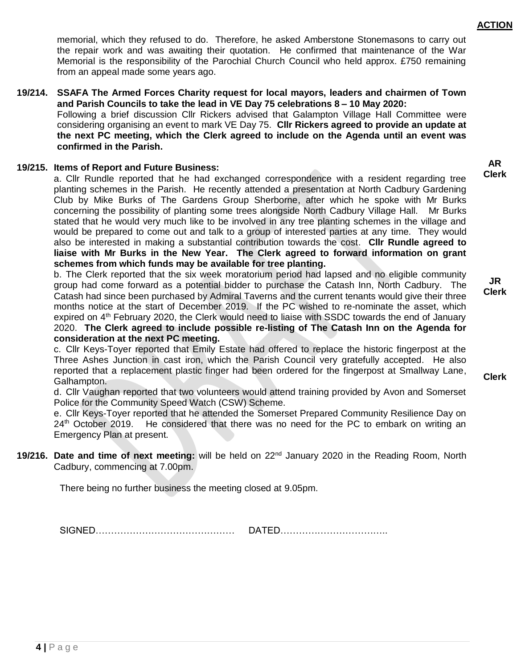memorial, which they refused to do. Therefore, he asked Amberstone Stonemasons to carry out the repair work and was awaiting their quotation. He confirmed that maintenance of the War Memorial is the responsibility of the Parochial Church Council who held approx. £750 remaining from an appeal made some years ago.

**19/214. SSAFA The Armed Forces Charity request for local mayors, leaders and chairmen of Town and Parish Councils to take the lead in VE Day 75 celebrations 8 – 10 May 2020:** Following a brief discussion Cllr Rickers advised that Galampton Village Hall Committee were considering organising an event to mark VE Day 75. **Cllr Rickers agreed to provide an update at the next PC meeting, which the Clerk agreed to include on the Agenda until an event was confirmed in the Parish.**

#### **19/215. Items of Report and Future Business:**

a. Cllr Rundle reported that he had exchanged correspondence with a resident regarding tree planting schemes in the Parish. He recently attended a presentation at North Cadbury Gardening Club by Mike Burks of The Gardens Group Sherborne, after which he spoke with Mr Burks concerning the possibility of planting some trees alongside North Cadbury Village Hall. Mr Burks stated that he would very much like to be involved in any tree planting schemes in the village and would be prepared to come out and talk to a group of interested parties at any time. They would also be interested in making a substantial contribution towards the cost. **Cllr Rundle agreed to liaise with Mr Burks in the New Year. The Clerk agreed to forward information on grant schemes from which funds may be available for tree planting.** 

b. The Clerk reported that the six week moratorium period had lapsed and no eligible community group had come forward as a potential bidder to purchase the Catash Inn, North Cadbury. The Catash had since been purchased by Admiral Taverns and the current tenants would give their three months notice at the start of December 2019. If the PC wished to re-nominate the asset, which expired on 4<sup>th</sup> February 2020, the Clerk would need to liaise with SSDC towards the end of January 2020. **The Clerk agreed to include possible re-listing of The Catash Inn on the Agenda for consideration at the next PC meeting.** 

c. Cllr Keys-Toyer reported that Emily Estate had offered to replace the historic fingerpost at the Three Ashes Junction in cast iron, which the Parish Council very gratefully accepted. He also reported that a replacement plastic finger had been ordered for the fingerpost at Smallway Lane, Galhampton.

d. Cllr Vaughan reported that two volunteers would attend training provided by Avon and Somerset Police for the Community Speed Watch (CSW) Scheme.

e. Cllr Keys-Toyer reported that he attended the Somerset Prepared Community Resilience Day on  $24<sup>th</sup>$  October 2019. He considered that there was no need for the PC to embark on writing an Emergency Plan at present.

19/216. Date and time of next meeting: will be held on 22<sup>nd</sup> January 2020 in the Reading Room, North Cadbury, commencing at 7.00pm.

There being no further business the meeting closed at 9.05pm.

SIGNED……………………………………… DATED……………………………..

**JR Clerk**

**Clerk**

**4 |** P a g e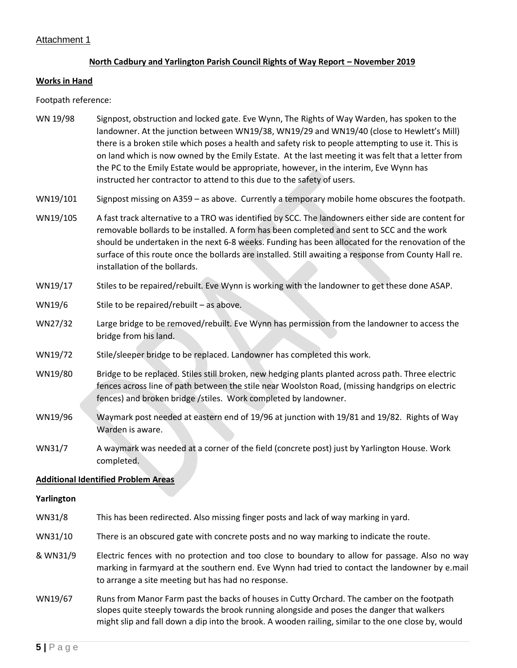## Attachment 1

#### **North Cadbury and Yarlington Parish Council Rights of Way Report – November 2019**

#### **Works in Hand**

Footpath reference:

- WN 19/98 Signpost, obstruction and locked gate. Eve Wynn, The Rights of Way Warden, has spoken to the landowner. At the junction between WN19/38, WN19/29 and WN19/40 (close to Hewlett's Mill) there is a broken stile which poses a health and safety risk to people attempting to use it. This is on land which is now owned by the Emily Estate. At the last meeting it was felt that a letter from the PC to the Emily Estate would be appropriate, however, in the interim, Eve Wynn has instructed her contractor to attend to this due to the safety of users.
- WN19/101 Signpost missing on A359 as above. Currently a temporary mobile home obscures the footpath.
- WN19/105 A fast track alternative to a TRO was identified by SCC. The landowners either side are content for removable bollards to be installed. A form has been completed and sent to SCC and the work should be undertaken in the next 6-8 weeks. Funding has been allocated for the renovation of the surface of this route once the bollards are installed. Still awaiting a response from County Hall re. installation of the bollards.
- WN19/17 Stiles to be repaired/rebuilt. Eve Wynn is working with the landowner to get these done ASAP.
- WN19/6 Stile to be repaired/rebuilt as above.
- WN27/32 Large bridge to be removed/rebuilt. Eve Wynn has permission from the landowner to access the bridge from his land.
- WN19/72 Stile/sleeper bridge to be replaced. Landowner has completed this work.
- WN19/80 Bridge to be replaced. Stiles still broken, new hedging plants planted across path. Three electric fences across line of path between the stile near Woolston Road, (missing handgrips on electric fences) and broken bridge /stiles. Work completed by landowner.
- WN19/96 Waymark post needed at eastern end of 19/96 at junction with 19/81 and 19/82. Rights of Way Warden is aware.
- WN31/7 A waymark was needed at a corner of the field (concrete post) just by Yarlington House. Work completed.

#### **Additional Identified Problem Areas**

#### **Yarlington**

- WN31/8 This has been redirected. Also missing finger posts and lack of way marking in yard.
- WN31/10 There is an obscured gate with concrete posts and no way marking to indicate the route.
- & WN31/9 Electric fences with no protection and too close to boundary to allow for passage. Also no way marking in farmyard at the southern end. Eve Wynn had tried to contact the landowner by e.mail to arrange a site meeting but has had no response.
- WN19/67 Runs from Manor Farm past the backs of houses in Cutty Orchard. The camber on the footpath slopes quite steeply towards the brook running alongside and poses the danger that walkers might slip and fall down a dip into the brook. A wooden railing, similar to the one close by, would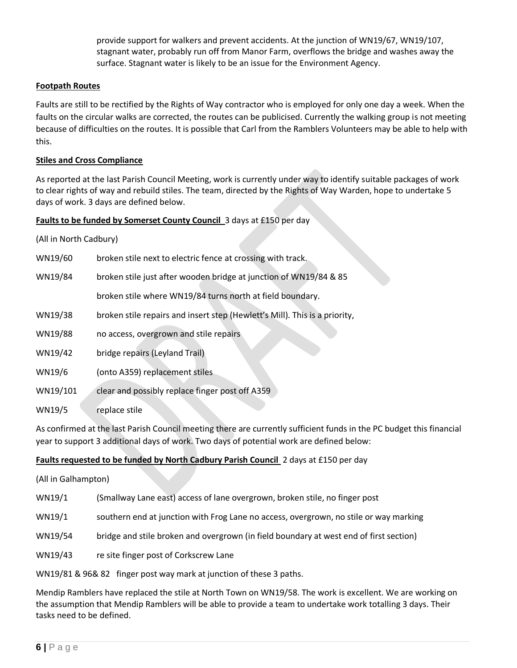provide support for walkers and prevent accidents. At the junction of WN19/67, WN19/107, stagnant water, probably run off from Manor Farm, overflows the bridge and washes away the surface. Stagnant water is likely to be an issue for the Environment Agency.

#### **Footpath Routes**

Faults are still to be rectified by the Rights of Way contractor who is employed for only one day a week. When the faults on the circular walks are corrected, the routes can be publicised. Currently the walking group is not meeting because of difficulties on the routes. It is possible that Carl from the Ramblers Volunteers may be able to help with this.

#### **Stiles and Cross Compliance**

As reported at the last Parish Council Meeting, work is currently under way to identify suitable packages of work to clear rights of way and rebuild stiles. The team, directed by the Rights of Way Warden, hope to undertake 5 days of work. 3 days are defined below.

#### **Faults to be funded by Somerset County Council** 3 days at £150 per day

(All in North Cadbury)

| WN19/60  | broken stile next to electric fence at crossing with track.                |
|----------|----------------------------------------------------------------------------|
| WN19/84  | broken stile just after wooden bridge at junction of WN19/84 & 85          |
|          | broken stile where WN19/84 turns north at field boundary.                  |
| WN19/38  | broken stile repairs and insert step (Hewlett's Mill). This is a priority, |
| WN19/88  | no access, overgrown and stile repairs                                     |
| WN19/42  | bridge repairs (Leyland Trail)                                             |
| WN19/6   | (onto A359) replacement stiles                                             |
| WN19/101 | clear and possibly replace finger post off A359                            |
| WN19/5   | replace stile                                                              |

As confirmed at the last Parish Council meeting there are currently sufficient funds in the PC budget this financial year to support 3 additional days of work. Two days of potential work are defined below:

#### **Faults requested to be funded by North Cadbury Parish Council** 2 days at £150 per day

| (All in Galhampton) |                                                                                        |
|---------------------|----------------------------------------------------------------------------------------|
| WN19/1              | (Smallway Lane east) access of lane overgrown, broken stile, no finger post            |
| WN19/1              | southern end at junction with Frog Lane no access, overgrown, no stile or way marking  |
| WN19/54             | bridge and stile broken and overgrown (in field boundary at west end of first section) |
| WN19/43             | re site finger post of Corkscrew Lane                                                  |
|                     | WN19/81 & 96& 82 finger post way mark at junction of these 3 paths.                    |

Mendip Ramblers have replaced the stile at North Town on WN19/58. The work is excellent. We are working on the assumption that Mendip Ramblers will be able to provide a team to undertake work totalling 3 days. Their tasks need to be defined.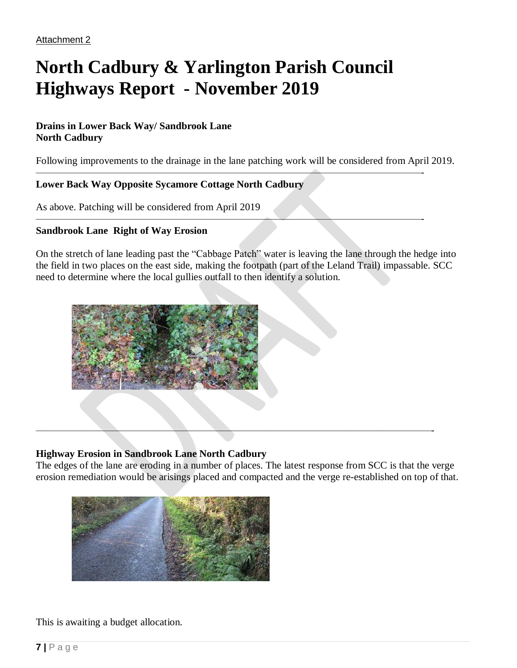# **North Cadbury & Yarlington Parish Council Highways Report - November 2019**

## **Drains in Lower Back Way/ Sandbrook Lane North Cadbury**

Following improvements to the drainage in the lane patching work will be considered from April 2019.

——————————————————————————————————————-

——————————————————————————————————————-

## **Lower Back Way Opposite Sycamore Cottage North Cadbury**

As above. Patching will be considered from April 2019

## **Sandbrook Lane Right of Way Erosion**

On the stretch of lane leading past the "Cabbage Patch" water is leaving the lane through the hedge into the field in two places on the east side, making the footpath (part of the Leland Trail) impassable. SCC need to determine where the local gullies outfall to then identify a solution.



## **Highway Erosion in Sandbrook Lane North Cadbury**

The edges of the lane are eroding in a number of places. The latest response from SCC is that the verge erosion remediation would be arisings placed and compacted and the verge re-established on top of that.

———————————————————————————————————————-



## This is awaiting a budget allocation.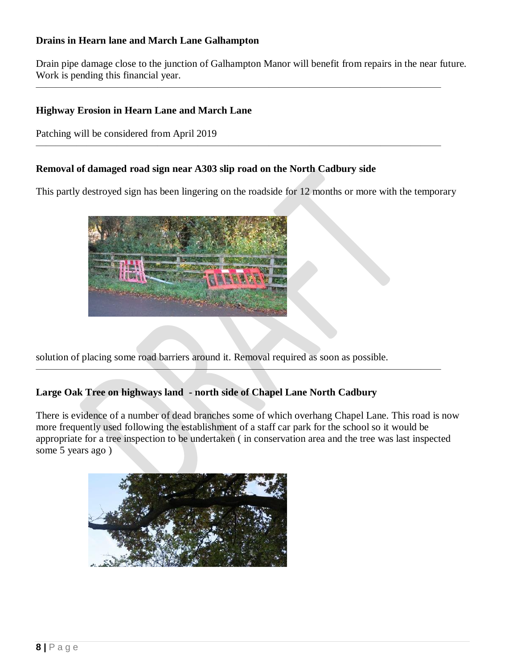## **Drains in Hearn lane and March Lane Galhampton**

Drain pipe damage close to the junction of Galhampton Manor will benefit from repairs in the near future. Work is pending this financial year.

————————————————————————————————————————

————————————————————————————————————————

## **Highway Erosion in Hearn Lane and March Lane**

Patching will be considered from April 2019

## **Removal of damaged road sign near A303 slip road on the North Cadbury side**

This partly destroyed sign has been lingering on the roadside for 12 months or more with the temporary



solution of placing some road barriers around it. Removal required as soon as possible.

## **Large Oak Tree on highways land - north side of Chapel Lane North Cadbury**

There is evidence of a number of dead branches some of which overhang Chapel Lane. This road is now more frequently used following the establishment of a staff car park for the school so it would be appropriate for a tree inspection to be undertaken ( in conservation area and the tree was last inspected some 5 years ago )

————————————————————————————————————————

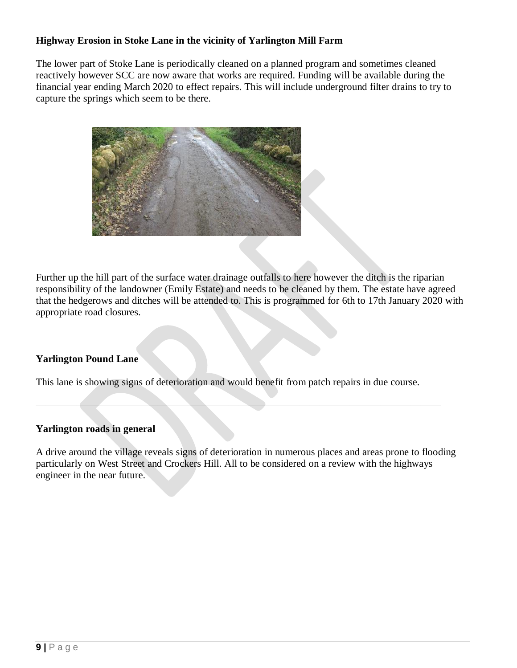## **Highway Erosion in Stoke Lane in the vicinity of Yarlington Mill Farm**

The lower part of Stoke Lane is periodically cleaned on a planned program and sometimes cleaned reactively however SCC are now aware that works are required. Funding will be available during the financial year ending March 2020 to effect repairs. This will include underground filter drains to try to capture the springs which seem to be there.



Further up the hill part of the surface water drainage outfalls to here however the ditch is the riparian responsibility of the landowner (Emily Estate) and needs to be cleaned by them. The estate have agreed that the hedgerows and ditches will be attended to. This is programmed for 6th to 17th January 2020 with appropriate road closures.

## **Yarlington Pound Lane**

This lane is showing signs of deterioration and would benefit from patch repairs in due course.

————————————————————————————————————————

————————————————————————————————————————

## **Yarlington roads in general**

A drive around the village reveals signs of deterioration in numerous places and areas prone to flooding particularly on West Street and Crockers Hill. All to be considered on a review with the highways engineer in the near future.

————————————————————————————————————————